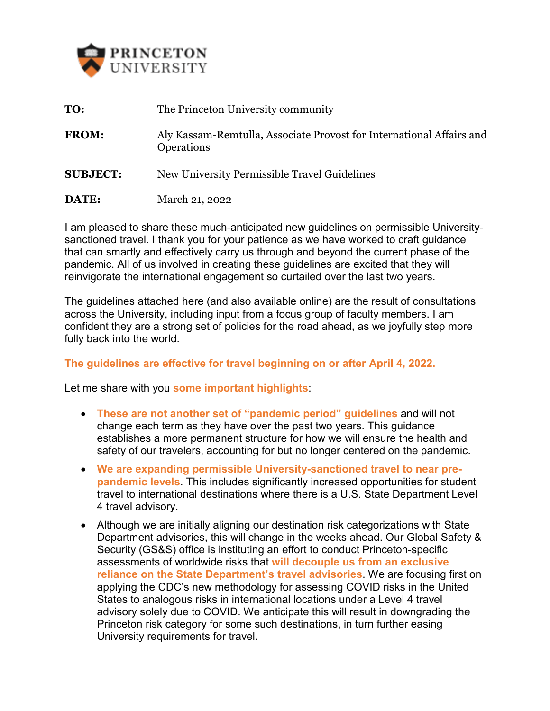

| TO:             | The Princeton University community                                                        |
|-----------------|-------------------------------------------------------------------------------------------|
| <b>FROM:</b>    | Aly Kassam-Remtulla, Associate Provost for International Affairs and<br><b>Operations</b> |
| <b>SUBJECT:</b> | New University Permissible Travel Guidelines                                              |
| DATE:           | March 21, 2022                                                                            |

I am pleased to share these much-anticipated new guidelines on permissible Universitysanctioned travel. I thank you for your patience as we have worked to craft guidance that can smartly and effectively carry us through and beyond the current phase of the pandemic. All of us involved in creating these guidelines are excited that they will reinvigorate the international engagement so curtailed over the last two years.

The guidelines attached here (and also available online) are the result of consultations across the University, including input from a focus group of faculty members. I am confident they are a strong set of policies for the road ahead, as we joyfully step more fully back into the world.

## **The guidelines are effective for travel beginning on or after April 4, 2022.**

Let me share with you **some important highlights**:

- **These are not another set of "pandemic period" guidelines** and will not change each term as they have over the past two years. This guidance establishes a more permanent structure for how we will ensure the health and safety of our travelers, accounting for but no longer centered on the pandemic.
- **We are expanding permissible University-sanctioned travel to near prepandemic levels**. This includes significantly increased opportunities for student travel to international destinations where there is a U.S. State Department Level 4 travel advisory.
- Although we are initially aligning our destination risk categorizations with State Department advisories, this will change in the weeks ahead. Our Global Safety & Security (GS&S) office is instituting an effort to conduct Princeton-specific assessments of worldwide risks that **will decouple us from an exclusive reliance on the State Department's travel advisories**. We are focusing first on applying the CDC's new methodology for assessing COVID risks in the United States to analogous risks in international locations under a Level 4 travel advisory solely due to COVID. We anticipate this will result in downgrading the Princeton risk category for some such destinations, in turn further easing University requirements for travel.